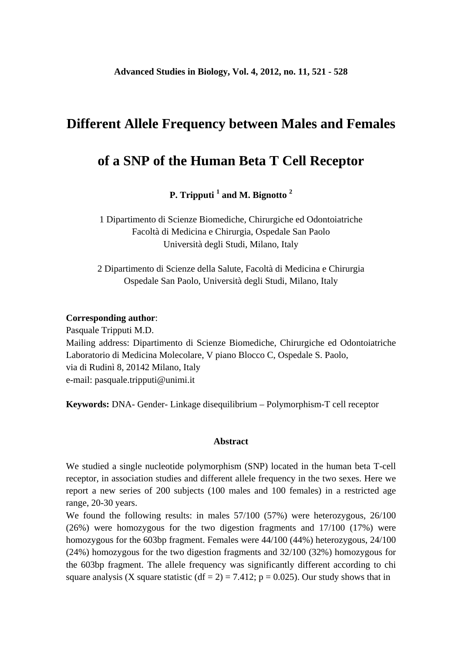## **Different Allele Frequency between Males and Females**

# **of a SNP of the Human Beta T Cell Receptor**

**P. Tripputi 1 and M. Bignotto <sup>2</sup>**

1 Dipartimento di Scienze Biomediche, Chirurgiche ed Odontoiatriche Facoltà di Medicina e Chirurgia, Ospedale San Paolo Università degli Studi, Milano, Italy

2 Dipartimento di Scienze della Salute, Facoltà di Medicina e Chirurgia Ospedale San Paolo, Università degli Studi, Milano, Italy

#### **Corresponding author**:

Pasquale Tripputi M.D. Mailing address: Dipartimento di Scienze Biomediche, Chirurgiche ed Odontoiatriche Laboratorio di Medicina Molecolare, V piano Blocco C, Ospedale S. Paolo, via di Rudinì 8, 20142 Milano, Italy e-mail: pasquale.tripputi@unimi.it

**Keywords:** DNA- Gender- Linkage disequilibrium – Polymorphism-T cell receptor

#### **Abstract**

We studied a single nucleotide polymorphism (SNP) located in the human beta T-cell receptor, in association studies and different allele frequency in the two sexes. Here we report a new series of 200 subjects (100 males and 100 females) in a restricted age range, 20-30 years.

We found the following results: in males 57/100 (57%) were heterozygous, 26/100 (26%) were homozygous for the two digestion fragments and 17/100 (17%) were homozygous for the 603bp fragment. Females were 44/100 (44%) heterozygous, 24/100 (24%) homozygous for the two digestion fragments and 32/100 (32%) homozygous for the 603bp fragment. The allele frequency was significantly different according to chi square analysis (X square statistic (df = 2) = 7.412; p = 0.025). Our study shows that in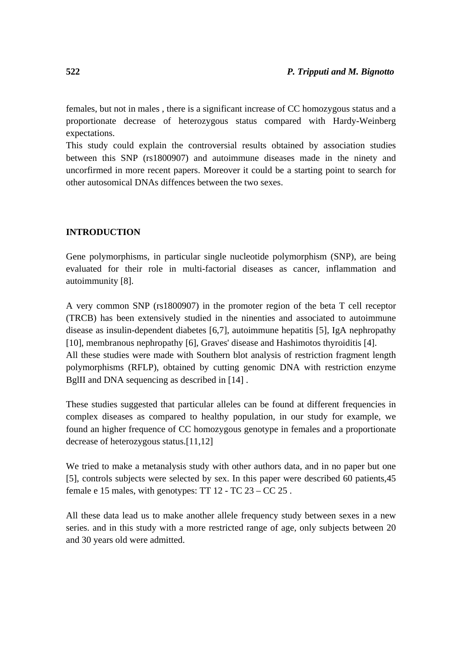females, but not in males , there is a significant increase of CC homozygous status and a proportionate decrease of heterozygous status compared with Hardy-Weinberg expectations.

This study could explain the controversial results obtained by association studies between this SNP (rs1800907) and autoimmune diseases made in the ninety and uncorfirmed in more recent papers. Moreover it could be a starting point to search for other autosomical DNAs diffences between the two sexes.

## **INTRODUCTION**

Gene polymorphisms, in particular single nucleotide polymorphism (SNP), are being evaluated for their role in multi-factorial diseases as cancer, inflammation and autoimmunity [8].

A very common SNP (rs1800907) in the promoter region of the beta T cell receptor (TRCB) has been extensively studied in the ninenties and associated to autoimmune disease as insulin-dependent diabetes [6,7], autoimmune hepatitis [5], IgA nephropathy [10], membranous nephropathy [6], Graves' disease and Hashimotos thyroiditis [4]. All these studies were made with Southern blot analysis of restriction fragment length polymorphisms (RFLP), obtained by cutting genomic DNA with restriction enzyme BglII and DNA sequencing as described in [14] .

These studies suggested that particular alleles can be found at different frequencies in complex diseases as compared to healthy population, in our study for example, we found an higher frequence of CC homozygous genotype in females and a proportionate decrease of heterozygous status.[11,12]

We tried to make a metanalysis study with other authors data, and in no paper but one [5], controls subjects were selected by sex. In this paper were described 60 patients,45 female e 15 males, with genotypes: TT 12 - TC 23 – CC 25 .

All these data lead us to make another allele frequency study between sexes in a new series. and in this study with a more restricted range of age, only subjects between 20 and 30 years old were admitted.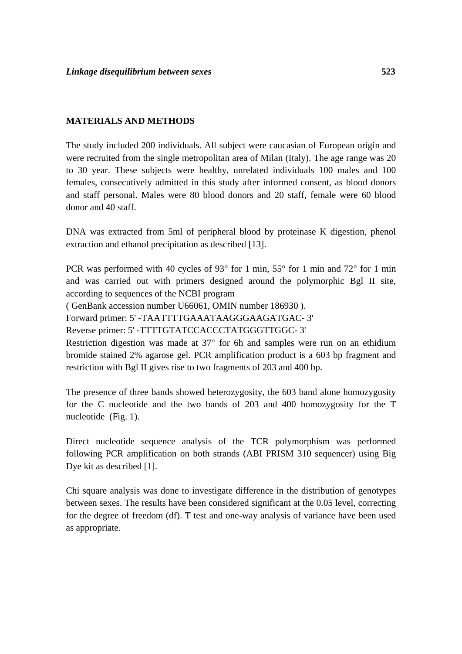#### **MATERIALS AND METHODS**

The study included 200 individuals. All subject were caucasian of European origin and were recruited from the single metropolitan area of Milan (Italy). The age range was 20 to 30 year. These subjects were healthy, unrelated individuals 100 males and 100 females, consecutively admitted in this study after informed consent, as blood donors and staff personal. Males were 80 blood donors and 20 staff, female were 60 blood donor and 40 staff.

DNA was extracted from 5ml of peripheral blood by proteinase K digestion, phenol extraction and ethanol precipitation as described [13].

PCR was performed with 40 cycles of 93° for 1 min, 55° for 1 min and 72° for 1 min and was carried out with primers designed around the polymorphic Bgl II site, according to sequences of the NCBI program

( GenBank accession number U66061, OMIN number 186930 ).

Forward primer: 5' -TAATTTTGAAATAAGGGAAGATGAC- 3'

Reverse primer: 5' -TTTTGTATCCACCCTATGGGTTGGC- 3'

Restriction digestion was made at 37° for 6h and samples were run on an ethidium bromide stained 2% agarose gel. PCR amplification product is a 603 bp fragment and restriction with Bgl II gives rise to two fragments of 203 and 400 bp.

The presence of three bands showed heterozygosity, the 603 band alone homozygosity for the C nucleotide and the two bands of 203 and 400 homozygosity for the T nucleotide (Fig. 1).

Direct nucleotide sequence analysis of the TCR polymorphism was performed following PCR amplification on both strands (ABI PRISM 310 sequencer) using Big Dye kit as described [1].

Chi square analysis was done to investigate difference in the distribution of genotypes between sexes. The results have been considered significant at the 0.05 level, correcting for the degree of freedom (df). T test and one-way analysis of variance have been used as appropriate.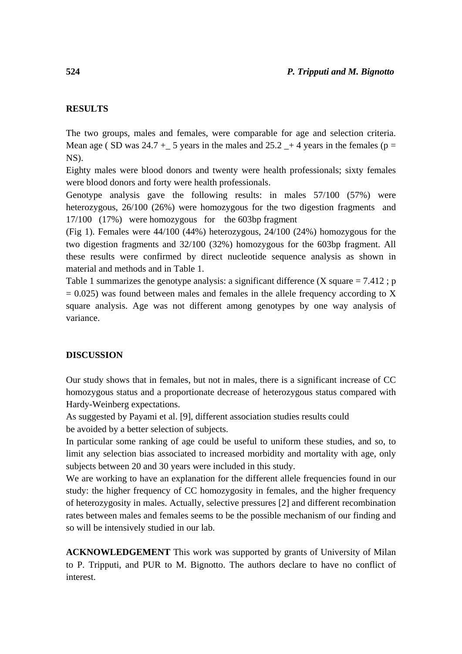## **RESULTS**

The two groups, males and females, were comparable for age and selection criteria. Mean age ( SD was 24.7  $+$  5 years in the males and 25.2  $+$  4 years in the females (p = NS).

Eighty males were blood donors and twenty were health professionals; sixty females were blood donors and forty were health professionals.

Genotype analysis gave the following results: in males 57/100 (57%) were heterozygous, 26/100 (26%) were homozygous for the two digestion fragments and 17/100 (17%) were homozygous for the 603bp fragment

(Fig 1). Females were 44/100 (44%) heterozygous, 24/100 (24%) homozygous for the two digestion fragments and 32/100 (32%) homozygous for the 603bp fragment. All these results were confirmed by direct nucleotide sequence analysis as shown in material and methods and in Table 1.

Table 1 summarizes the genotype analysis: a significant difference  $(X \text{ square} = 7.412; p)$  $= 0.025$ ) was found between males and females in the allele frequency according to X square analysis. Age was not different among genotypes by one way analysis of variance.

#### **DISCUSSION**

Our study shows that in females, but not in males, there is a significant increase of CC homozygous status and a proportionate decrease of heterozygous status compared with Hardy-Weinberg expectations.

As suggested by Payami et al. [9], different association studies results could be avoided by a better selection of subjects.

In particular some ranking of age could be useful to uniform these studies, and so, to limit any selection bias associated to increased morbidity and mortality with age, only subjects between 20 and 30 years were included in this study.

We are working to have an explanation for the different allele frequencies found in our study: the higher frequency of CC homozygosity in females, and the higher frequency of heterozygosity in males. Actually, selective pressures [2] and different recombination rates between males and females seems to be the possible mechanism of our finding and so will be intensively studied in our lab.

**ACKNOWLEDGEMENT** This work was supported by grants of University of Milan to P. Tripputi, and PUR to M. Bignotto. The authors declare to have no conflict of interest.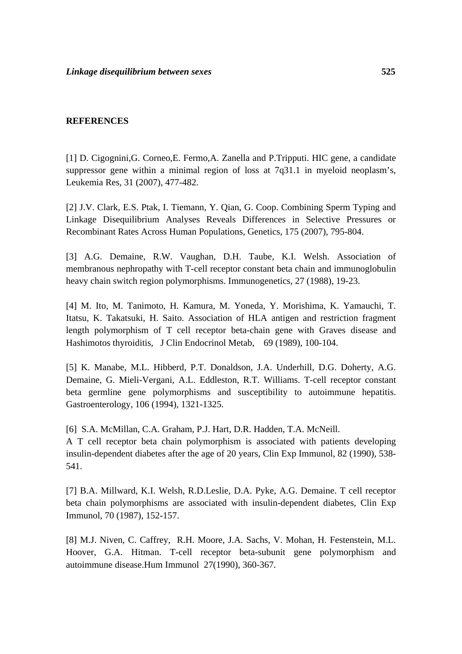#### **REFERENCES**

[1] D. Cigognini,G. Corneo,E. Fermo,A. Zanella and P.Tripputi. HIC gene, a candidate suppressor gene within a minimal region of loss at 7q31.1 in myeloid neoplasm's, Leukemia Res, 31 (2007), 477-482.

[2] J.V. Clark, E.S. Ptak, I. Tiemann, Y. Qian, G. Coop. Combining Sperm Typing and Linkage Disequilibrium Analyses Reveals Differences in Selective Pressures or Recombinant Rates Across Human Populations, Genetics, 175 (2007), 795-804.

[3] A.G. Demaine, R.W. Vaughan, D.H. Taube, K.I. Welsh. Association of membranous nephropathy with T-cell receptor constant beta chain and immunoglobulin heavy chain switch region polymorphisms. Immunogenetics, 27 (1988), 19-23.

[4] M. Ito, M. Tanimoto, H. Kamura, M. Yoneda, Y. Morishima, K. Yamauchi, T. Itatsu, K. Takatsuki, H. Saito. Association of HLA antigen and restriction fragment length polymorphism of T cell receptor beta-chain gene with Graves disease and Hashimotos thyroiditis, J Clin Endocrinol Metab, 69 (1989), 100-104.

[5] K. Manabe, M.L. Hibberd, P.T. Donaldson, J.A. Underhill, D.G. Doherty, A.G. Demaine, G. Mieli-Vergani, A.L. Eddleston, R.T. Williams. T-cell receptor constant beta germline gene polymorphisms and susceptibility to autoimmune hepatitis. Gastroenterology*,* 106 (1994), 1321-1325.

[6] S.A. McMillan, C.A. Graham, P.J. Hart, D.R. Hadden, T.A. McNeill. A T cell receptor beta chain polymorphism is associated with patients developing insulin-dependent diabetes after the age of 20 years, Clin Exp Immunol, 82 (1990), 538- 541.

[7] B.A. Millward, K.I. Welsh, R.D.Leslie, D.A. Pyke, A.G. Demaine. T cell receptor beta chain polymorphisms are associated with insulin-dependent diabetes, Clin Exp Immunol, 70 (1987), 152-157.

[8] M.J. Niven, C. Caffrey, R.H. Moore, J.A. Sachs, V. Mohan, H. Festenstein, M.L. Hoover, G.A. Hitman. T-cell receptor beta-subunit gene polymorphism and autoimmune disease.Hum Immunol 27(1990), 360-367.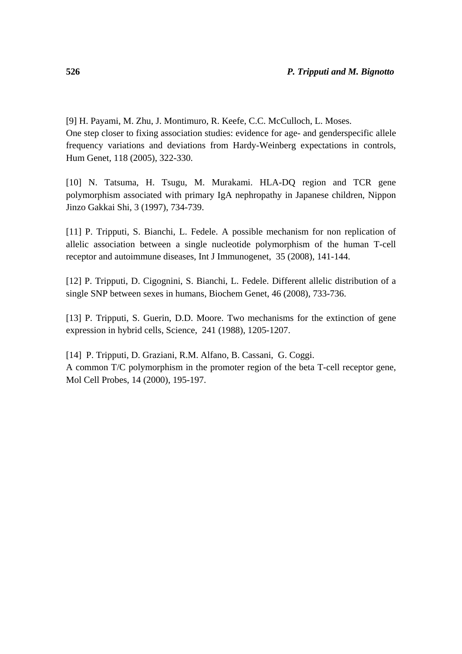[9] H. Payami, M. Zhu, J. Montimuro, R. Keefe, C.C. McCulloch, L. Moses. One step closer to fixing association studies: evidence for age- and genderspecific allele frequency variations and deviations from Hardy-Weinberg expectations in controls, Hum Genet*,* 118 (2005), 322-330.

[10] N. Tatsuma, H. Tsugu, M. Murakami. HLA-DQ region and TCR gene polymorphism associated with primary IgA nephropathy in Japanese children, Nippon Jinzo Gakkai Shi, 3 (1997), 734-739.

[11] P. Tripputi, S. Bianchi, L. Fedele. A possible mechanism for non replication of allelic association between a single nucleotide polymorphism of the human T-cell receptor and autoimmune diseases, Int J Immunogenet, 35 (2008), 141-144.

[12] P. Tripputi, D. Cigognini, S. Bianchi, L. Fedele. Different allelic distribution of a single SNP between sexes in humans, Biochem Genet, 46 (2008), 733-736.

[13] P. Tripputi, S. Guerin, D.D. Moore. Two mechanisms for the extinction of gene expression in hybrid cells, Science, 241 (1988), 1205-1207.

[14] P. Tripputi, D. Graziani, R.M. Alfano, B. Cassani, G. Coggi. A common T/C polymorphism in the promoter region of the beta T-cell receptor gene, Mol Cell Probes, 14 (2000), 195-197.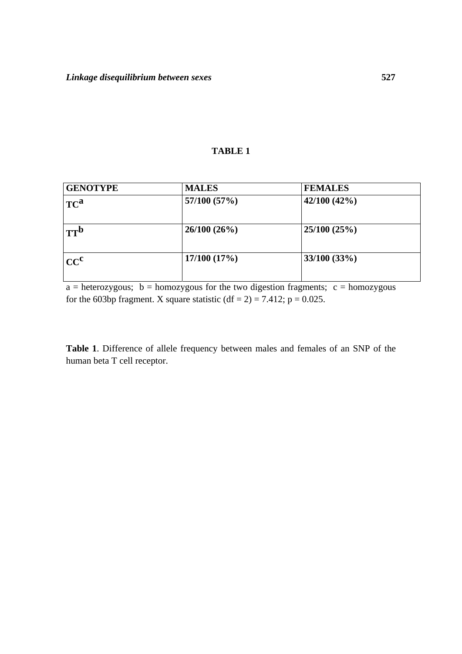## **TABLE 1**

| <b>GENOTYPE</b> | <b>MALES</b> | <b>FEMALES</b>  |
|-----------------|--------------|-----------------|
| TC <sup>a</sup> | 57/100 (57%) | 42/100(42%)     |
| TT <sup>b</sup> | 26/100(26%)  | 25/100(25%)     |
| CC <sup>c</sup> | 17/100(17%)  | $33/100 (33\%)$ |

 $a =$  heterozygous;  $b =$  homozygous for the two digestion fragments;  $c =$  homozygous for the 603bp fragment. X square statistic (df = 2) = 7.412;  $p = 0.025$ .

**Table 1**. Difference of allele frequency between males and females of an SNP of the human beta T cell receptor.